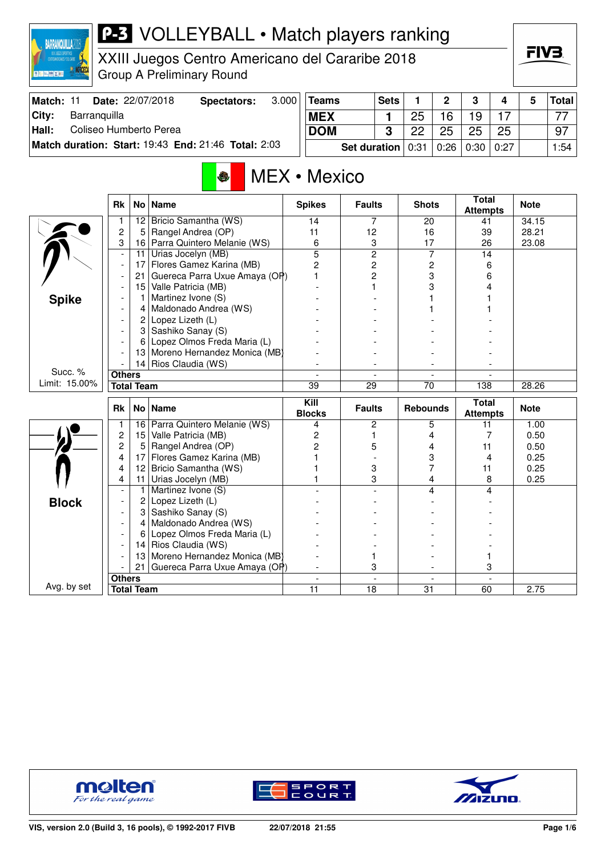

XXIII Juegos Centro Americano del Cararibe 2018 Group A Preliminary Round

| Match: 11 | Date: 22/07/2018                                    | Spectators: | 3.0001 | Teams                      | <b>Sets</b> |    | C    | <sup>o</sup> |      | Total│ |
|-----------|-----------------------------------------------------|-------------|--------|----------------------------|-------------|----|------|--------------|------|--------|
| City:     | Barranguilla                                        |             |        | <b>MEX</b>                 |             | 25 | 16   | 19           |      | 77     |
| Hall:     | Coliseo Humberto Perea                              |             |        | <b>DOM</b>                 | ≏           | っっ | 25   | 25           | 25   | 97     |
|           | Match duration: Start: 19:43 End: 21:46 Total: 2:03 |             |        | <b>Set duration</b> $0:31$ |             |    | 0:26 | 0:30         | 0:27 | 1:54   |

## MEX • Mexico

|               | <b>Rk</b>                |                   | No   Name                                          | <b>Spikes</b>  | <b>Faults</b>  | <b>Shots</b>             | <b>Total</b><br><b>Attempts</b> | <b>Note</b> |
|---------------|--------------------------|-------------------|----------------------------------------------------|----------------|----------------|--------------------------|---------------------------------|-------------|
|               |                          | 12                | Bricio Samantha (WS)                               | 14             | 7              | 20                       | 41                              | 34.15       |
|               | $\overline{c}$           | 5                 | Rangel Andrea (OP)                                 | 11             | 12             | 16                       | 39                              | 28.21       |
|               | 3                        | 16                | Parra Quintero Melanie (WS)                        | 6              | 3              | 17                       | 26                              | 23.08       |
|               | $\blacksquare$           | 11                | Urias Jocelyn (MB)                                 | $\overline{5}$ | $\overline{2}$ | 7                        | 14                              |             |
|               | $\blacksquare$           | 17                | Flores Gamez Karina (MB)                           | $\overline{2}$ | $\overline{c}$ | 2                        | 6                               |             |
|               |                          | 21                | Guereca Parra Uxue Amaya (OP)                      | 1              | $\overline{c}$ | 3                        | 6                               |             |
|               |                          | 15                | Valle Patricia (MB)                                |                |                | 3                        | 4                               |             |
| <b>Spike</b>  |                          |                   | Martinez Ivone (S)                                 |                |                |                          |                                 |             |
|               |                          | 4                 | Maldonado Andrea (WS)                              |                |                |                          |                                 |             |
|               |                          | 2                 | Lopez Lizeth (L)                                   |                |                |                          |                                 |             |
|               |                          | 3                 | Sashiko Sanay (S)                                  |                |                |                          |                                 |             |
|               |                          | 6                 | Lopez Olmos Freda Maria (L)                        |                |                |                          |                                 |             |
|               |                          | 13                | Moreno Hernandez Monica (MB)                       |                |                |                          |                                 |             |
|               |                          | 14                | Rios Claudia (WS)                                  |                |                |                          |                                 |             |
| Succ. %       | <b>Others</b>            |                   |                                                    | $\overline{a}$ | $\blacksquare$ | $\overline{\phantom{a}}$ |                                 |             |
| Limit: 15.00% |                          | <b>Total Team</b> |                                                    | 39             | 29             | 70                       | 138                             | 28.26       |
|               |                          |                   |                                                    | Kill           |                |                          | <b>Total</b>                    |             |
|               | <b>Rk</b>                |                   | No Name                                            | <b>Blocks</b>  | <b>Faults</b>  | <b>Rebounds</b>          |                                 | <b>Note</b> |
|               | $\mathbf{1}$             | 16                |                                                    | 4              | 2              | 5                        | <b>Attempts</b><br>11           | 1.00        |
|               | $\overline{c}$           | 15                | Parra Quintero Melanie (WS)<br>Valle Patricia (MB) | $\overline{c}$ | 1              | 4                        | 7                               | 0.50        |
|               | $\overline{c}$           | 5                 | Rangel Andrea (OP)                                 | $\overline{2}$ | 5              | 4                        | 11                              | 0.50        |
|               | 4                        | 17                | Flores Gamez Karina (MB)                           |                |                | 3                        | 4                               | 0.25        |
|               | 4                        | 12                | Bricio Samantha (WS)                               |                | 3              | 7                        | 11                              | 0.25        |
|               | 4                        | 11                | Urias Jocelyn (MB)                                 |                | 3              | 4                        | 8                               | 0.25        |
|               |                          | 1                 | Martinez Ivone (S)                                 |                |                | 4                        | 4                               |             |
|               |                          | 2                 | Lopez Lizeth (L)                                   |                |                |                          |                                 |             |
| <b>Block</b>  | $\blacksquare$           | 3                 | Sashiko Sanay (S)                                  |                |                |                          |                                 |             |
|               | $\overline{\phantom{a}}$ | 4                 | Maldonado Andrea (WS)                              |                |                |                          |                                 |             |
|               |                          | 6                 | Lopez Olmos Freda Maria (L)                        |                |                |                          |                                 |             |
|               |                          | 14                | Rios Claudia (WS)                                  |                |                |                          |                                 |             |
|               |                          | 13                | Moreno Hernandez Monica (MB)                       |                | 1              |                          |                                 |             |
|               |                          | 21                | Guereca Parra Uxue Amaya (OP)                      |                | 3              |                          | 3                               |             |
| Avg. by set   | <b>Others</b>            |                   |                                                    | $\overline{a}$ | $\overline{a}$ | $\overline{a}$           | $\overline{a}$                  |             |





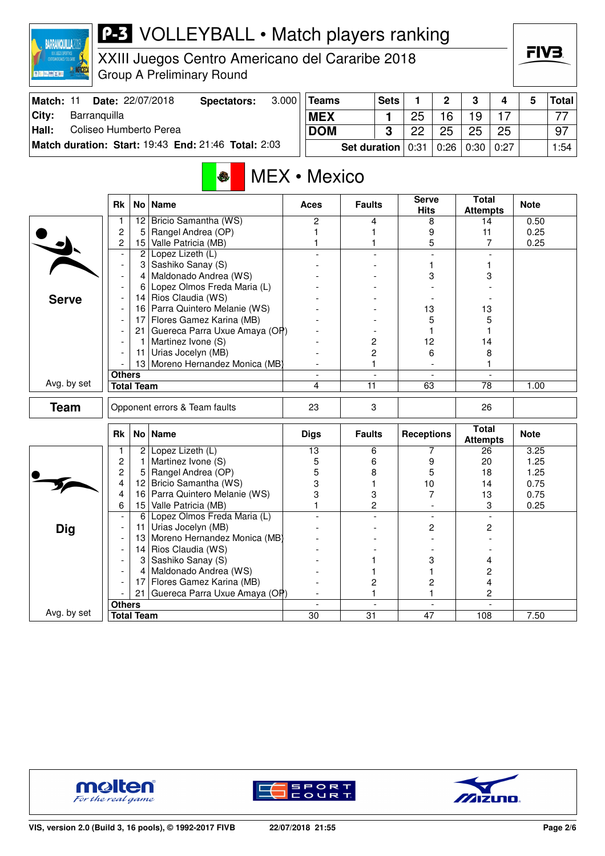|    | ZANQITILI                                                       |  |
|----|-----------------------------------------------------------------|--|
|    |                                                                 |  |
|    | XXIII JUECOS DEPORTIVOS<br><b>CENTROANERICANOS Y DEL CARIBE</b> |  |
|    |                                                                 |  |
| m, |                                                                 |  |

XXIII Juegos Centro Americano del Cararibe 2018 Group A Preliminary Round

| Match: 11 | <b>Date: 22/07/2018</b>                                    | Spectators: | 3.000 | Teams                      | <b>Sets</b> |    | C    | ິ    |      | Total│ |
|-----------|------------------------------------------------------------|-------------|-------|----------------------------|-------------|----|------|------|------|--------|
| City:     | Barranquilla                                               |             |       | <b>MEX</b>                 |             | 25 | 16   | 19   |      | 77     |
| Hall:     | Coliseo Humberto Perea                                     |             |       | <b>DOM</b>                 |             | ⊇ດ | 25   | 25   | 25   | 97     |
|           | <b>Match duration: Start: 19:43 End: 21:46 Total: 2:03</b> |             |       | <b>Set duration</b> $0:31$ |             |    | 0:26 | 0:30 | 0:27 | 1:54   |

### MEX • Mexico

|              | <b>Rk</b>                |                   | No   Name                       | <b>Aces</b>    | <b>Faults</b>  | <b>Serve</b><br><b>Hits</b> | <b>Total</b><br><b>Attempts</b> | <b>Note</b> |
|--------------|--------------------------|-------------------|---------------------------------|----------------|----------------|-----------------------------|---------------------------------|-------------|
|              | 1                        | 12                | Bricio Samantha (WS)            | $\overline{2}$ | 4              | 8                           | 14                              | 0.50        |
|              | $\overline{c}$           | 5                 | Rangel Andrea (OP)              | 1              | 1              | 9                           | 11                              | 0.25        |
|              | 2                        | 15                | Valle Patricia (MB)             |                | 1              | 5                           | $\overline{7}$                  | 0.25        |
|              |                          | $\overline{2}$    | Lopez Lizeth (L)                |                |                | $\overline{\phantom{a}}$    | $\blacksquare$                  |             |
|              | $\overline{\phantom{a}}$ | 3                 | Sashiko Sanay (S)               |                |                |                             |                                 |             |
|              | $\overline{\phantom{a}}$ | 4                 | Maldonado Andrea (WS)           |                |                | 3                           | 3                               |             |
|              |                          | 6                 | Lopez Olmos Freda Maria (L)     |                |                |                             |                                 |             |
| <b>Serve</b> | $\overline{\phantom{a}}$ | 14                | Rios Claudia (WS)               |                |                |                             |                                 |             |
|              |                          | 16                | Parra Quintero Melanie (WS)     |                |                | 13                          | 13                              |             |
|              |                          | 17                | Flores Gamez Karina (MB)        |                |                | 5                           | 5                               |             |
|              |                          | 21                | Guereca Parra Uxue Amaya (OP)   |                |                |                             |                                 |             |
|              |                          | 1.                | Martinez Ivone (S)              |                | $\overline{c}$ | 12                          | 14                              |             |
|              |                          | 11 <sup>1</sup>   | Urias Jocelyn (MB)              |                | $\overline{c}$ | 6                           | 8                               |             |
|              |                          |                   | 13 Moreno Hernandez Monica (MB) |                | 1              |                             | 1                               |             |
|              | <b>Others</b>            |                   |                                 | $\blacksquare$ | $\blacksquare$ | $\overline{\phantom{a}}$    | $\blacksquare$                  |             |
| Avg. by set  | <b>Total Team</b>        |                   |                                 | 4              | 11             | 63                          | $\overline{78}$                 | 1.00        |
| <b>Team</b>  |                          |                   | Opponent errors & Team faults   | 23             | 3              |                             | 26                              |             |
|              | Rk                       | No l              | <b>Name</b>                     | <b>Digs</b>    | <b>Faults</b>  | <b>Receptions</b>           | <b>Total</b><br><b>Attempts</b> | <b>Note</b> |
|              | 1                        | 2                 | Lopez Lizeth (L)                | 13             | 6              | 7                           | 26                              | 3.25        |
|              | $\overline{c}$           | 1                 | Martinez Ivone (S)              | 5              | 6              | 9                           | 20                              | 1.25        |
|              | 2                        | 5                 | Rangel Andrea (OP)              | 5              | 8              | 5                           | 18                              | 1.25        |
|              | 4                        | 12                | Bricio Samantha (WS)            | 3              | 1              | 10                          | 14                              | 0.75        |
|              | 4                        | 16                | Parra Quintero Melanie (WS)     | 3              | 3              | 7                           | 13                              | 0.75        |
|              | 6                        | 15 <sup>2</sup>   | Valle Patricia (MB)             | 1              | $\overline{2}$ |                             | 3                               | 0.25        |
|              | $\blacksquare$           | 6                 | Lopez Olmos Freda Maria (L)     |                |                | $\blacksquare$              |                                 |             |
| <b>Dig</b>   |                          | 11                | Urias Jocelyn (MB)              |                |                | 2                           | 2                               |             |
|              |                          | 13                | Moreno Hernandez Monica (MB)    |                |                |                             |                                 |             |
|              | $\overline{\phantom{a}}$ | 14                | Rios Claudia (WS)               |                |                |                             |                                 |             |
|              |                          | 3                 | Sashiko Sanay (S)               |                |                | 3                           | 4                               |             |
|              | $\overline{\phantom{a}}$ | 4                 | Maldonado Andrea (WS)           |                |                |                             | 2                               |             |
|              |                          |                   | 17 Flores Gamez Karina (MB)     |                | 2              | 2                           | 4                               |             |
|              |                          | 21                | Guereca Parra Uxue Amaya (OP)   |                | 1              | 1                           | 2                               |             |
|              | <b>Others</b>            |                   |                                 | $\blacksquare$ | $\blacksquare$ | $\overline{a}$              |                                 |             |
| Avg. by set  |                          | <b>Total Team</b> |                                 | 30             | 31             | 47                          | 108                             | 7.50        |





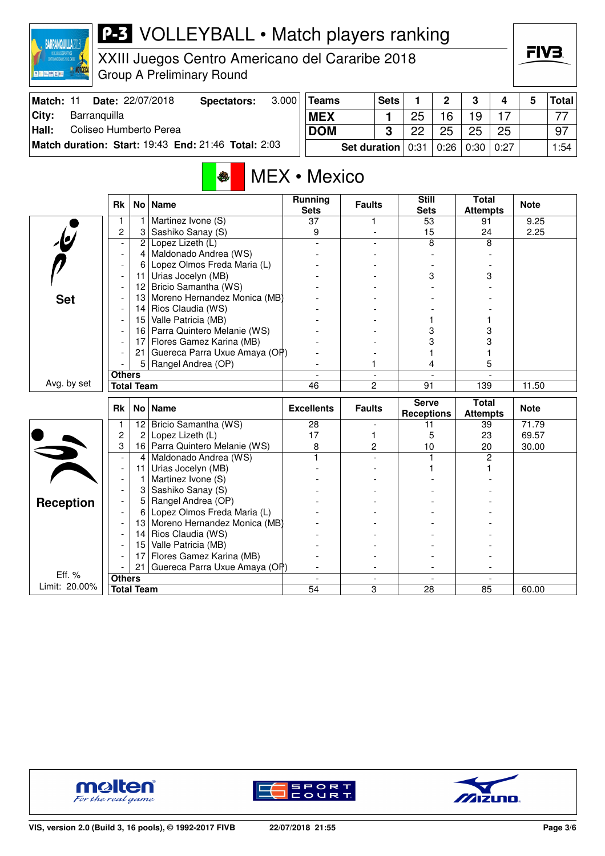

XXIII Juegos Centro Americano del Cararibe 2018 Group A Preliminary Round

| Match:        | <b>Date: 22/07/2018</b>                             | Spectators: | 3.000 | <b>Teams</b>          | <b>Sets</b> |    | ່າ                 | 2  | 4  | Total |
|---------------|-----------------------------------------------------|-------------|-------|-----------------------|-------------|----|--------------------|----|----|-------|
| City:         | Barranguilla                                        |             |       | <b>MEX</b>            |             | 25 | 16                 | 19 |    | 77    |
| $\vert$ Hall: | Coliseo Humberto Perea                              |             |       | <b>DOM</b>            | ≏           | ററ | 25                 | 25 | 25 | 97    |
|               | Match duration: Start: 19:43 End: 21:46 Total: 2:03 |             |       | Set duration $ 0:31 $ |             |    | 0:26   0:30   0:27 |    |    | 1:54  |

## MEX • Mexico

|                         | <b>Rk</b>                |                   | No   Name                     | <b>Running</b><br><b>Sets</b> | <b>Faults</b>            | <b>Still</b><br><b>Sets</b>       | <b>Total</b><br><b>Attempts</b> | <b>Note</b> |
|-------------------------|--------------------------|-------------------|-------------------------------|-------------------------------|--------------------------|-----------------------------------|---------------------------------|-------------|
|                         | 1                        | 1                 | Martinez Ivone (S)            | $\overline{37}$               | 1                        | 53                                | 91                              | 9.25        |
|                         | 2                        | 3                 | Sashiko Sanay (S)             | 9                             |                          | 15                                | 24                              | 2.25        |
| $\overline{\mathbf{e}}$ | $\overline{\phantom{a}}$ | $\overline{c}$    | Lopez Lizeth (L)              |                               |                          | 8                                 | 8                               |             |
|                         |                          | 4                 | Maldonado Andrea (WS)         |                               |                          |                                   |                                 |             |
|                         |                          | 6                 | Lopez Olmos Freda Maria (L)   |                               |                          |                                   |                                 |             |
|                         |                          | 11                | Urias Jocelyn (MB)            |                               |                          | 3                                 | 3                               |             |
|                         |                          | 12                | Bricio Samantha (WS)          |                               |                          |                                   |                                 |             |
| <b>Set</b>              |                          | 13                | Moreno Hernandez Monica (MB)  |                               |                          |                                   |                                 |             |
|                         |                          | 14                | Rios Claudia (WS)             |                               |                          |                                   |                                 |             |
|                         |                          | 15                | Valle Patricia (MB)           |                               |                          |                                   |                                 |             |
|                         |                          | 16                | Parra Quintero Melanie (WS)   |                               |                          | 3                                 | 3                               |             |
|                         |                          | 17                | Flores Gamez Karina (MB)      |                               |                          | 3                                 | 3                               |             |
|                         |                          | 21                | Guereca Parra Uxue Amaya (OP) |                               |                          |                                   |                                 |             |
|                         |                          | 5 <sup>1</sup>    | Rangel Andrea (OP)            |                               | 1                        | 4                                 | 5                               |             |
|                         | <b>Others</b>            |                   |                               |                               | $\overline{\phantom{a}}$ |                                   |                                 |             |
| Avg. by set             |                          | <b>Total Team</b> |                               | 46                            | $\overline{c}$           | 91                                | 139                             | 11.50       |
|                         |                          |                   |                               |                               |                          |                                   |                                 |             |
|                         | <b>Rk</b>                |                   | No   Name                     | <b>Excellents</b>             | <b>Faults</b>            | <b>Serve</b><br><b>Receptions</b> | <b>Total</b><br><b>Attempts</b> | <b>Note</b> |
|                         | 1                        | 12                | Bricio Samantha (WS)          | 28                            |                          | 11                                | 39                              | 71.79       |
|                         | $\overline{c}$           | $\mathbf{2}$      | Lopez Lizeth (L)              | 17                            | 1                        | 5                                 | 23                              | 69.57       |
|                         | 3                        | 16                | Parra Quintero Melanie (WS)   | 8                             | $\overline{c}$           | 10                                | 20                              | 30.00       |
|                         | $\overline{\phantom{a}}$ | 4                 | Maldonado Andrea (WS)         |                               |                          | $\mathbf{1}$                      | 2                               |             |
|                         | $\overline{\phantom{a}}$ | 11                | Urias Jocelyn (MB)            |                               |                          |                                   |                                 |             |
|                         | $\overline{\phantom{a}}$ | 1                 | Martinez Ivone (S)            |                               |                          |                                   |                                 |             |
|                         |                          | 3                 | Sashiko Sanay (S)             |                               |                          |                                   |                                 |             |
|                         |                          | 5                 | Rangel Andrea (OP)            |                               |                          |                                   |                                 |             |
| <b>Reception</b>        |                          | 6                 | Lopez Olmos Freda Maria (L)   |                               |                          |                                   |                                 |             |
|                         |                          | 13                | Moreno Hernandez Monica (MB)  |                               |                          |                                   |                                 |             |
|                         |                          | 14                | Rios Claudia (WS)             |                               |                          |                                   |                                 |             |
|                         |                          | 15                | Valle Patricia (MB)           |                               |                          |                                   |                                 |             |
|                         |                          | 17                | Flores Gamez Karina (MB)      |                               |                          |                                   |                                 |             |
|                         |                          | 21                | Guereca Parra Uxue Amaya (OP) |                               |                          |                                   |                                 |             |
| Eff. %<br>Limit: 20.00% | <b>Others</b>            | <b>Total Team</b> |                               | 54                            | 3                        | 28                                | 85                              | 60.00       |





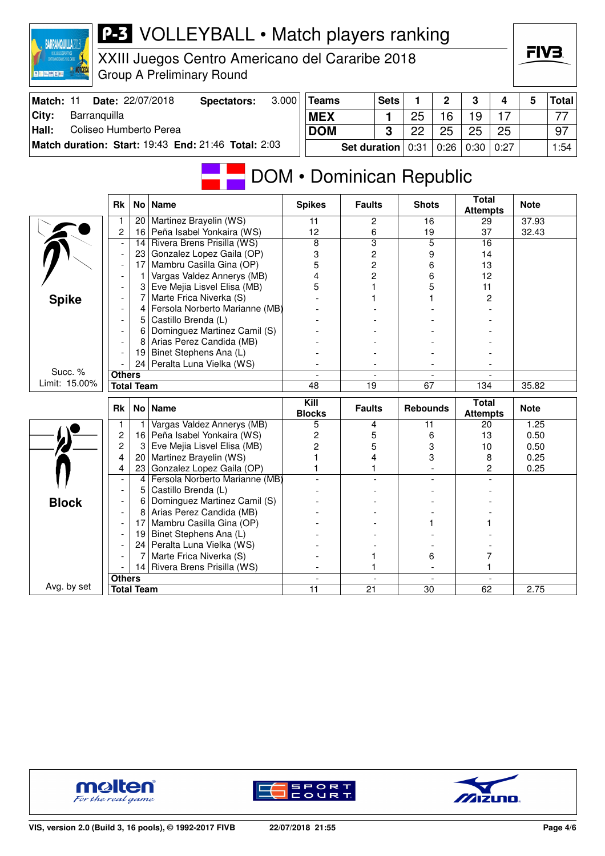| 奥图片图文图                          |                                            |                   | <b>Group A Preliminary Round</b>                                |       |                                           |                                  |                         |                 |                |                                 |      |              |              |
|---------------------------------|--------------------------------------------|-------------------|-----------------------------------------------------------------|-------|-------------------------------------------|----------------------------------|-------------------------|-----------------|----------------|---------------------------------|------|--------------|--------------|
| Match: 11                       |                                            |                   | Date: 22/07/2018<br><b>Spectators:</b>                          | 3.000 | <b>Teams</b>                              |                                  | <b>Sets</b>             | 1               | $\mathbf 2$    | 3                               | 4    | 5            | <b>Total</b> |
| City:<br>Barranquilla           |                                            |                   |                                                                 |       | <b>MEX</b>                                |                                  | 1                       | 25              | 16             | 19                              | 17   |              | 77           |
| Coliseo Humberto Perea<br>Hall: |                                            |                   |                                                                 |       | <b>DOM</b>                                |                                  | $\overline{\mathbf{3}}$ | 22              | 25             | 25                              | 25   |              | 97           |
|                                 |                                            |                   | Match duration: Start: 19:43 End: 21:46 Total: 2:03             |       |                                           | <b>Set duration</b>              |                         | 0:31            | 0:26           | 0:30                            | 0:27 |              | 1:54         |
|                                 |                                            |                   |                                                                 |       |                                           |                                  |                         |                 |                |                                 |      |              |              |
|                                 |                                            |                   |                                                                 |       | DOM • Dominican Republic                  |                                  |                         |                 |                |                                 |      |              |              |
|                                 | Rk                                         |                   | No   Name                                                       |       | <b>Spikes</b>                             | <b>Faults</b>                    |                         | <b>Shots</b>    |                | Total<br><b>Attempts</b>        |      | <b>Note</b>  |              |
|                                 | 1                                          |                   | 20 Martinez Brayelin (WS)                                       |       | 11                                        | $\overline{2}$                   |                         | 16              |                | 29                              |      | 37.93        |              |
|                                 | $\overline{\mathbf{c}}$                    |                   | 16 Peña Isabel Yonkaira (WS)                                    |       | 12                                        | 6                                |                         | 19              |                | 37                              |      | 32.43        |              |
|                                 | $\overline{\phantom{a}}$                   | 14                | Rivera Brens Prisilla (WS)                                      |       | 8                                         | $\overline{3}$                   |                         | 5               |                | 16                              |      |              |              |
|                                 | $\overline{\phantom{a}}$                   |                   | 23 Gonzalez Lopez Gaila (OP)                                    |       | 3                                         | 2                                |                         | 9               |                | 14                              |      |              |              |
|                                 | $\overline{\phantom{a}}$<br>$\overline{a}$ | 17<br>1           | Mambru Casilla Gina (OP)<br>Vargas Valdez Annerys (MB)          |       | 5<br>4                                    | $\overline{c}$<br>$\overline{2}$ |                         | 6<br>6          |                | 13<br>12                        |      |              |              |
|                                 | $\overline{a}$                             | 3                 | Eve Mejia Lisvel Elisa (MB)                                     |       | 5                                         | 1                                |                         | 5               |                | 11                              |      |              |              |
| <b>Spike</b>                    |                                            | 7                 | Marte Frica Niverka (S)                                         |       |                                           |                                  |                         |                 |                | 2                               |      |              |              |
|                                 |                                            | 4                 | Fersola Norberto Marianne (MB)                                  |       |                                           |                                  |                         |                 |                |                                 |      |              |              |
|                                 | ÷,                                         | 5                 | Castillo Brenda (L)                                             |       |                                           |                                  |                         |                 |                |                                 |      |              |              |
|                                 |                                            | 6                 | Dominguez Martinez Camil (S)                                    |       |                                           |                                  |                         |                 |                |                                 |      |              |              |
|                                 | $\overline{\phantom{a}}$                   | 8                 | Arias Perez Candida (MB)                                        |       |                                           |                                  |                         |                 |                |                                 |      |              |              |
|                                 |                                            |                   | 19 Binet Stephens Ana (L)                                       |       |                                           |                                  |                         |                 |                |                                 |      |              |              |
| Succ. %                         |                                            |                   | 24 Peralta Luna Vielka (WS)                                     |       |                                           |                                  |                         |                 |                |                                 |      |              |              |
| Limit: 15.00%                   | <b>Others</b>                              | <b>Total Team</b> |                                                                 |       | $\overline{48}$                           | $\overline{19}$                  |                         | $\overline{67}$ |                | 134                             |      | 35.82        |              |
|                                 |                                            |                   |                                                                 |       |                                           |                                  |                         |                 |                |                                 |      |              |              |
|                                 | <b>Rk</b>                                  |                   | No   Name                                                       |       | Kill<br><b>Blocks</b>                     | <b>Faults</b>                    |                         | <b>Rebounds</b> |                | <b>Total</b><br><b>Attempts</b> |      | <b>Note</b>  |              |
|                                 | $\overline{1}$                             | $\mathbf{1}$      | Vargas Valdez Annerys (MB)                                      |       | 5                                         | 4                                |                         | $\overline{11}$ |                | 20                              |      | 1.25         |              |
|                                 | $\overline{c}$<br>$\overline{c}$           |                   | 16   Peña Isabel Yonkaira (WS)<br>3 Eve Mejia Lisvel Elisa (MB) |       | $\overline{\mathbf{c}}$<br>$\overline{c}$ | 5<br>5                           |                         | 6               |                | 13                              |      | 0.50<br>0.50 |              |
|                                 | 4                                          |                   | 20   Martinez Brayelin (WS)                                     |       | 1                                         | 4                                |                         | 3<br>3          |                | 10<br>8                         |      | 0.25         |              |
|                                 | 4                                          |                   | 23 Gonzalez Lopez Gaila (OP)                                    |       | 1                                         | 1                                |                         |                 | $\overline{a}$ | $\overline{c}$                  |      | 0.25         |              |
|                                 | $\overline{a}$                             | 4                 | Fersola Norberto Marianne (MB)                                  |       |                                           |                                  |                         |                 |                |                                 |      |              |              |
|                                 | $\overline{a}$                             | 5                 | Castillo Brenda (L)                                             |       |                                           |                                  |                         |                 |                |                                 |      |              |              |
| <b>Block</b>                    | $\overline{a}$                             | 6                 | Dominguez Martinez Camil (S)                                    |       |                                           |                                  |                         |                 |                |                                 |      |              |              |
|                                 | $\overline{a}$                             | 8                 | Arias Perez Candida (MB)                                        |       |                                           |                                  |                         |                 |                |                                 |      |              |              |
|                                 | $\overline{a}$                             | 17                | Mambru Casilla Gina (OP)                                        |       |                                           |                                  |                         |                 |                |                                 |      |              |              |
|                                 | $\overline{a}$                             |                   | 19 Binet Stephens Ana (L)                                       |       |                                           |                                  |                         |                 |                |                                 |      |              |              |
|                                 | $\overline{a}$                             |                   | 24 Peralta Luna Vielka (WS)<br>Marte Frica Niverka (S)          |       |                                           |                                  |                         |                 |                | 7                               |      |              |              |
|                                 |                                            | 7                 | 14 Rivera Brens Prisilla (WS)                                   |       |                                           | 1<br>1                           |                         | 6               | $\overline{a}$ | 1                               |      |              |              |
|                                 | <b>Others</b>                              |                   |                                                                 |       | $\overline{\phantom{a}}$                  |                                  | $\frac{1}{2}$           |                 | $\omega$       | $\blacksquare$                  |      |              |              |
| Avg. by set                     |                                            | <b>Total Team</b> |                                                                 |       | 11                                        | 21                               |                         | 30              |                | 62                              |      | 2.75         |              |
|                                 |                                            |                   |                                                                 |       |                                           |                                  |                         |                 |                |                                 |      |              |              |

XXIII Juegos Centro Americano del Cararibe 2018

**BARRANQUILLA2018** 







FIV: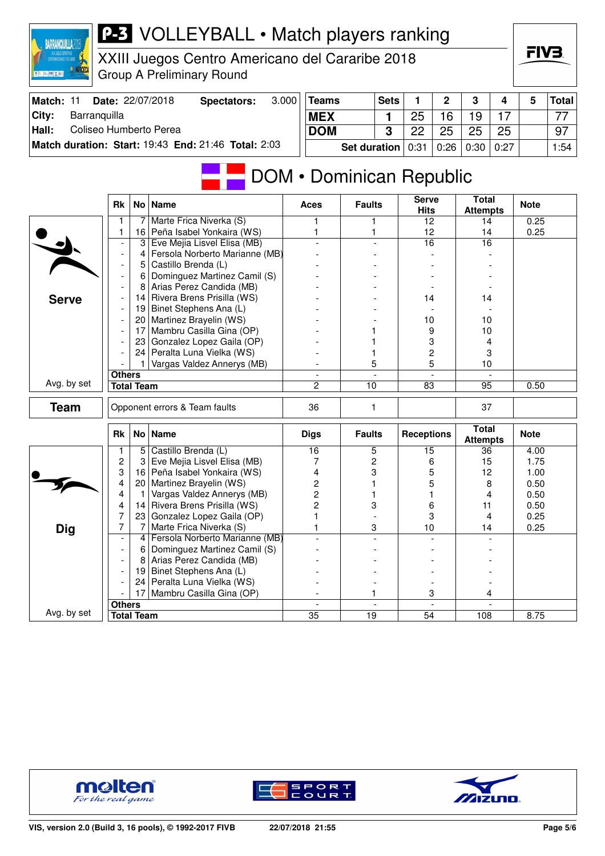| <b>DAMMINANT CAT</b>            |                                                      |                   | XXIII Juegos Centro Americano del Cararibe 2018<br><b>Group A Preliminary Round</b> |       |                          |                     |              |                             |                          |                                 |      | FIV3         |              |
|---------------------------------|------------------------------------------------------|-------------------|-------------------------------------------------------------------------------------|-------|--------------------------|---------------------|--------------|-----------------------------|--------------------------|---------------------------------|------|--------------|--------------|
| Match: 11                       |                                                      |                   | Date: 22/07/2018<br><b>Spectators:</b>                                              | 3.000 | <b>Teams</b>             |                     | <b>Sets</b>  | 1                           | 2                        | 3                               | 4    | 5            | <b>Total</b> |
| City:<br>Barranquilla           |                                                      |                   |                                                                                     |       | <b>MEX</b>               |                     | 1            | 25                          | 16                       | 19                              | 17   |              | 77           |
| Coliseo Humberto Perea<br>Hall: |                                                      |                   |                                                                                     |       | <b>DOM</b>               |                     | 3            | 22                          | 25                       | 25                              | 25   |              | 97           |
|                                 |                                                      |                   |                                                                                     |       |                          |                     |              |                             |                          |                                 |      |              |              |
|                                 |                                                      |                   | Match duration: Start: 19:43 End: 21:46 Total: 2:03                                 |       |                          | <b>Set duration</b> |              | 0:31                        | 0:26                     | 0:30                            | 0:27 |              | 1:54         |
|                                 |                                                      |                   |                                                                                     |       | DOM • Dominican Republic |                     |              |                             |                          |                                 |      |              |              |
|                                 | Rk                                                   |                   | No   Name                                                                           |       | Aces                     | <b>Faults</b>       |              | <b>Serve</b><br><b>Hits</b> |                          | <b>Total</b><br><b>Attempts</b> |      | <b>Note</b>  |              |
|                                 | 1                                                    | 7                 | Marte Frica Niverka (S)                                                             |       | 1                        | 1                   |              | 12                          |                          | 14                              |      | 0.25         |              |
|                                 | 1                                                    |                   | 16 Peña Isabel Yonkaira (WS)                                                        |       | 1                        | 1                   |              | 12                          |                          | 14                              |      | 0.25         |              |
|                                 | $\overline{a}$                                       | 3                 | Eve Mejia Lisvel Elisa (MB)<br>Fersola Norberto Marianne (MB)                       |       |                          |                     |              | 16                          |                          | 16                              |      |              |              |
|                                 | $\overline{\phantom{a}}$<br>$\overline{\phantom{a}}$ | 4                 | 5 Castillo Brenda (L)                                                               |       |                          |                     |              |                             |                          |                                 |      |              |              |
|                                 | $\overline{\phantom{a}}$                             | 6                 | Dominguez Martinez Camil (S)                                                        |       |                          |                     |              |                             |                          |                                 |      |              |              |
|                                 | $\overline{\phantom{a}}$                             | 8                 | Arias Perez Candida (MB)                                                            |       |                          |                     |              |                             |                          |                                 |      |              |              |
| <b>Serve</b>                    | $\overline{\phantom{a}}$                             | 14                | Rivera Brens Prisilla (WS)                                                          |       |                          |                     |              | 14                          |                          | 14                              |      |              |              |
|                                 |                                                      | 19                | Binet Stephens Ana (L)                                                              |       |                          |                     |              |                             |                          |                                 |      |              |              |
|                                 | $\overline{a}$                                       |                   | 20   Martinez Brayelin (WS)                                                         |       |                          |                     |              | 10                          |                          | 10                              |      |              |              |
|                                 |                                                      | 17                | Mambru Casilla Gina (OP)                                                            |       |                          |                     |              | 9                           |                          | 10                              |      |              |              |
|                                 | $\overline{\phantom{a}}$                             | 231               | Gonzalez Lopez Gaila (OP)                                                           |       |                          |                     |              | 3                           |                          | 4                               |      |              |              |
|                                 |                                                      | 24                | Peralta Luna Vielka (WS)                                                            |       |                          |                     |              |                             | 2                        | 3                               |      |              |              |
|                                 |                                                      |                   | Vargas Valdez Annerys (MB)                                                          |       |                          | 5                   |              |                             | 5                        | 10                              |      |              |              |
|                                 | <b>Others</b>                                        |                   |                                                                                     |       |                          |                     |              |                             |                          |                                 |      |              |              |
| Avg. by set                     |                                                      | <b>Total Team</b> |                                                                                     |       | $\overline{2}$           | 10                  |              | 83                          |                          | 95                              |      | 0.50         |              |
| <b>Team</b>                     |                                                      |                   | Opponent errors & Team faults                                                       |       | 36                       | 1                   |              |                             |                          | 37                              |      |              |              |
|                                 | <b>Rk</b>                                            |                   | No   Name                                                                           |       | <b>Digs</b>              | <b>Faults</b>       |              | <b>Receptions</b>           |                          | <b>Total</b><br><b>Attempts</b> |      | <b>Note</b>  |              |
|                                 | 1                                                    | 5 <sup>1</sup>    | Castillo Brenda (L)                                                                 |       | 16                       | 5                   |              | 15                          |                          | 36                              |      | 4.00         |              |
|                                 | 2                                                    | 3                 | Eve Mejia Lisvel Elisa (MB)                                                         |       | 7                        | 2                   |              | 6                           |                          | 15                              |      | 1.75         |              |
|                                 | 3                                                    |                   | 16 Peña Isabel Yonkaira (WS)                                                        |       | 4                        | 3                   |              |                             | 5                        | 12                              |      | 1.00         |              |
|                                 | 4                                                    | 20 <sub>1</sub>   | Martinez Brayelin (WS)                                                              |       | 2                        |                     |              | 5                           |                          | 8                               |      | 0.50         |              |
|                                 | 4<br>4                                               | 1                 | Vargas Valdez Annerys (MB)                                                          |       | 2                        | 1                   |              | 1                           |                          | 4                               |      | 0.50         |              |
|                                 | 7                                                    | 14<br>23          | Rivera Brens Prisilla (WS)<br>Gonzalez Lopez Gaila (OP)                             |       | 2<br>1                   | 3                   |              | 6                           | 3                        | 11<br>4                         |      | 0.50<br>0.25 |              |
|                                 | 7                                                    |                   | Marte Frica Niverka (S)                                                             |       | 1                        |                     | 3            | 10                          |                          | 14                              |      | 0.25         |              |
| <b>Dig</b>                      | $\overline{\phantom{a}}$                             | 4                 | Fersola Norberto Marianne (MB)                                                      |       |                          |                     |              |                             |                          |                                 |      |              |              |
|                                 | $\overline{\phantom{a}}$                             | 6                 | Dominguez Martinez Camil (S)                                                        |       |                          |                     |              |                             |                          |                                 |      |              |              |
|                                 | $\overline{\phantom{a}}$                             | 8                 | Arias Perez Candida (MB)                                                            |       |                          |                     |              |                             |                          |                                 |      |              |              |
|                                 | $\blacksquare$                                       | 19                | Binet Stephens Ana (L)                                                              |       |                          |                     |              |                             |                          |                                 |      |              |              |
|                                 |                                                      | 24 <sub>1</sub>   | Peralta Luna Vielka (WS)                                                            |       |                          |                     |              |                             |                          |                                 |      |              |              |
|                                 |                                                      | 17                | Mambru Casilla Gina (OP)                                                            |       |                          | 1                   |              |                             | 3                        |                                 | 4    |              |              |
|                                 | <b>Others</b>                                        |                   |                                                                                     |       |                          |                     | $\mathbf{r}$ |                             | $\overline{\phantom{a}}$ |                                 |      |              |              |
| Avg. by set                     |                                                      | <b>Total Team</b> |                                                                                     |       | $\overline{35}$          | $\overline{19}$     |              | $\overline{54}$             |                          | 108                             |      | 8.75         |              |



**BARRANQUILLA2018** 





FIV3